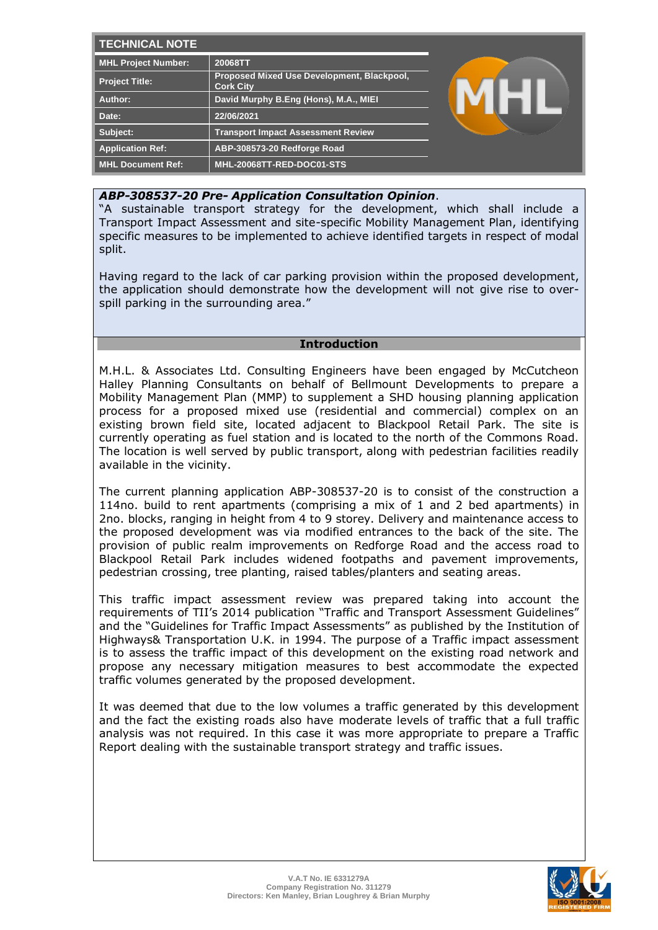| <b>TECHNICAL NOTE</b>      |                                                                |  |
|----------------------------|----------------------------------------------------------------|--|
| <b>MHL Project Number:</b> | 20068TT                                                        |  |
| Project Title:             | Proposed Mixed Use Development, Blackpool,<br><b>Cork City</b> |  |
| Author:                    | David Murphy B.Eng (Hons), M.A., MIEI                          |  |
| Date:                      | 22/06/2021                                                     |  |
| Subject:                   | <b>Transport Impact Assessment Review</b>                      |  |
| <b>Application Ref:</b>    | ABP-308573-20 Redforge Road                                    |  |
| <b>MHL Document Ref:</b>   | MHL-20068TT-RED-DOC01-STS                                      |  |

# *ABP-308537-20 Pre- Application Consultation Opinion*.

"A sustainable transport strategy for the development, which shall include a Transport Impact Assessment and site-specific Mobility Management Plan, identifying specific measures to be implemented to achieve identified targets in respect of modal split.

Having regard to the lack of car parking provision within the proposed development, the application should demonstrate how the development will not give rise to overspill parking in the surrounding area."

## **Introduction**

M.H.L. & Associates Ltd. Consulting Engineers have been engaged by McCutcheon Halley Planning Consultants on behalf of Bellmount Developments to prepare a Mobility Management Plan (MMP) to supplement a SHD housing planning application process for a proposed mixed use (residential and commercial) complex on an existing brown field site, located adjacent to Blackpool Retail Park. The site is currently operating as fuel station and is located to the north of the Commons Road. The location is well served by public transport, along with pedestrian facilities readily available in the vicinity.

The current planning application ABP-308537-20 is to consist of the construction a 114no. build to rent apartments (comprising a mix of 1 and 2 bed apartments) in 2no. blocks, ranging in height from 4 to 9 storey. Delivery and maintenance access to the proposed development was via modified entrances to the back of the site. The provision of public realm improvements on Redforge Road and the access road to Blackpool Retail Park includes widened footpaths and pavement improvements, pedestrian crossing, tree planting, raised tables/planters and seating areas.

This traffic impact assessment review was prepared taking into account the requirements of TII's 2014 publication "Traffic and Transport Assessment Guidelines" and the "Guidelines for Traffic Impact Assessments" as published by the Institution of Highways& Transportation U.K. in 1994. The purpose of a Traffic impact assessment is to assess the traffic impact of this development on the existing road network and propose any necessary mitigation measures to best accommodate the expected traffic volumes generated by the proposed development.

It was deemed that due to the low volumes a traffic generated by this development and the fact the existing roads also have moderate levels of traffic that a full traffic analysis was not required. In this case it was more appropriate to prepare a Traffic Report dealing with the sustainable transport strategy and traffic issues.

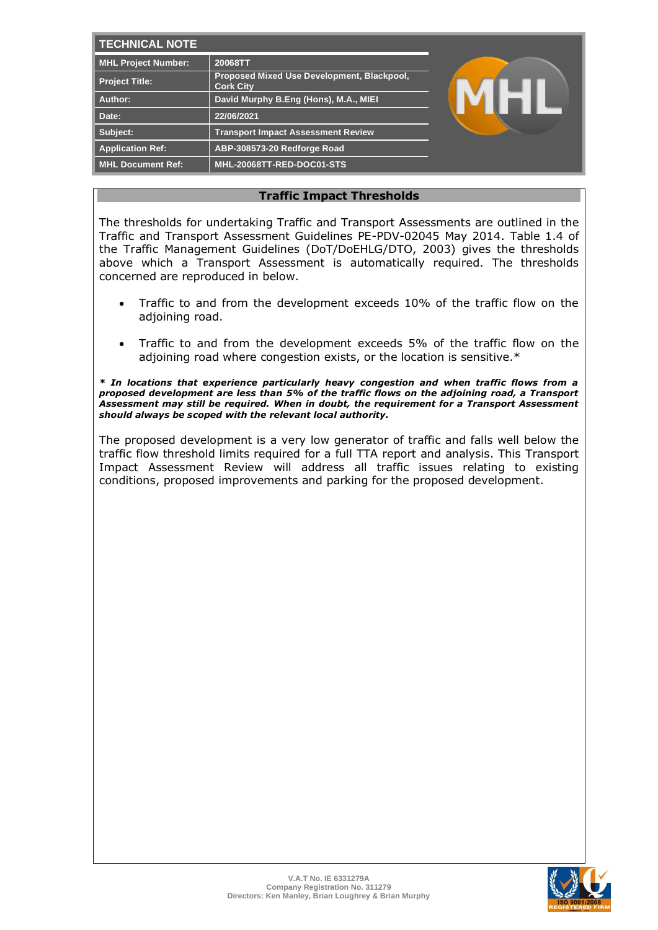| <b>TECHNICAL NOTE</b>   |                                                                |  |
|-------------------------|----------------------------------------------------------------|--|
| MHL Project Number:     | 20068TT                                                        |  |
| <b>Project Title:</b>   | Proposed Mixed Use Development, Blackpool,<br><b>Cork City</b> |  |
| Author:                 | David Murphy B.Eng (Hons), M.A., MIEI                          |  |
| Date:                   | 22/06/2021                                                     |  |
| Subject:                | <b>Transport Impact Assessment Review</b>                      |  |
| <b>Application Ref:</b> | ABP-308573-20 Redforge Road                                    |  |
| MHL Document Ref:       | MHL-20068TT-RED-DOC01-STS                                      |  |

# **Traffic Impact Thresholds**

The thresholds for undertaking Traffic and Transport Assessments are outlined in the Traffic and Transport Assessment Guidelines PE-PDV-02045 May 2014. Table 1.4 of the Traffic Management Guidelines (DoT/DoEHLG/DTO, 2003) gives the thresholds above which a Transport Assessment is automatically required. The thresholds concerned are reproduced in below.

- Traffic to and from the development exceeds 10% of the traffic flow on the adjoining road.
- Traffic to and from the development exceeds 5% of the traffic flow on the adjoining road where congestion exists, or the location is sensitive.\*

*\* In locations that experience particularly heavy congestion and when traffic flows from a proposed development are less than 5% of the traffic flows on the adjoining road, a Transport Assessment may still be required. When in doubt, the requirement for a Transport Assessment should always be scoped with the relevant local authority.* 

The proposed development is a very low generator of traffic and falls well below the traffic flow threshold limits required for a full TTA report and analysis. This Transport Impact Assessment Review will address all traffic issues relating to existing conditions, proposed improvements and parking for the proposed development.

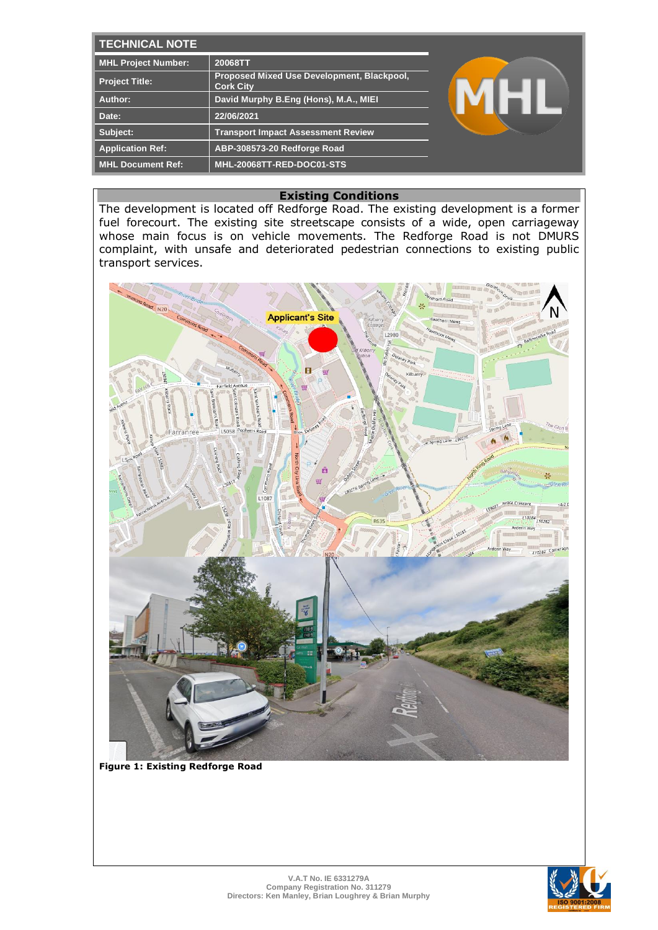| <b>TECHNICAL NOTE</b>      |                                                                |  |
|----------------------------|----------------------------------------------------------------|--|
| <b>MHL Project Number:</b> | 20068TT                                                        |  |
| <b>Project Title:</b>      | Proposed Mixed Use Development, Blackpool,<br><b>Cork City</b> |  |
| Author:                    | David Murphy B.Eng (Hons), M.A., MIEI                          |  |
| Date:                      | 22/06/2021                                                     |  |
| Subject:                   | <b>Transport Impact Assessment Review</b>                      |  |
| <b>Application Ref:</b>    | ABP-308573-20 Redforge Road                                    |  |
| <b>MHL Document Ref:</b>   | MHL-20068TT-RED-DOC01-STS                                      |  |

## **Existing Conditions**

The development is located off Redforge Road. The existing development is a former fuel forecourt. The existing site streetscape consists of a wide, open carriageway whose main focus is on vehicle movements. The Redforge Road is not DMURS complaint, with unsafe and deteriorated pedestrian connections to existing public transport services.



**Figure 1: Existing Redforge Road**

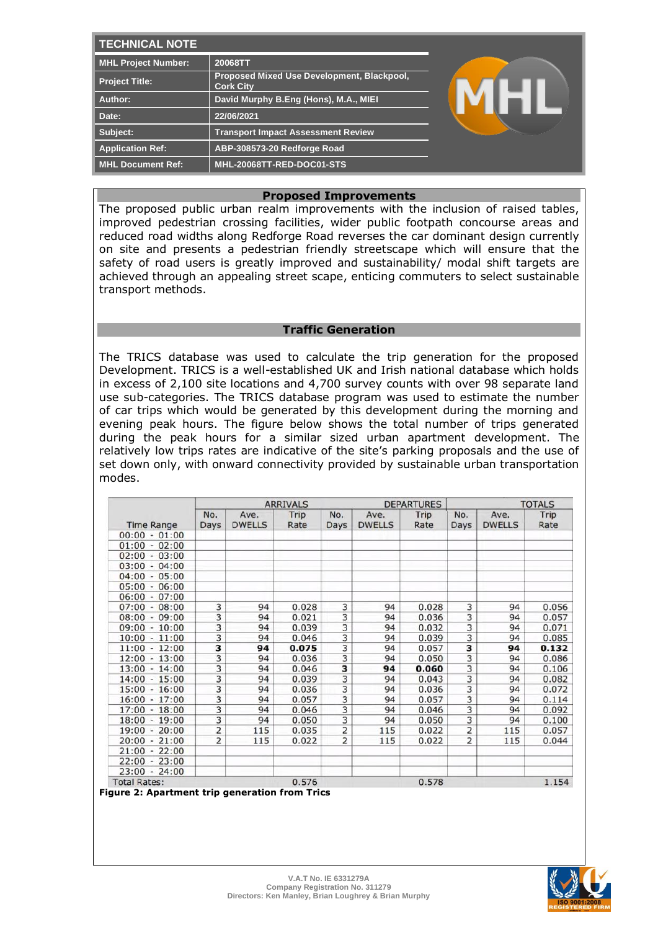| <b>TECHNICAL NOTE</b>      |                                                                |  |
|----------------------------|----------------------------------------------------------------|--|
| <b>MHL Project Number:</b> | 20068TT                                                        |  |
| <b>Project Title:</b>      | Proposed Mixed Use Development, Blackpool,<br><b>Cork City</b> |  |
| Author:                    | David Murphy B.Eng (Hons), M.A., MIEI                          |  |
| Date:                      | 22/06/2021                                                     |  |
| Subject:                   | <b>Transport Impact Assessment Review</b>                      |  |
| <b>Application Ref:</b>    | ABP-308573-20 Redforge Road                                    |  |
| <b>MHL Document Ref:</b>   | MHL-20068TT-RED-DOC01-STS                                      |  |

#### **Proposed Improvements**

The proposed public urban realm improvements with the inclusion of raised tables, improved pedestrian crossing facilities, wider public footpath concourse areas and reduced road widths along Redforge Road reverses the car dominant design currently on site and presents a pedestrian friendly streetscape which will ensure that the safety of road users is greatly improved and sustainability/ modal shift targets are achieved through an appealing street scape, enticing commuters to select sustainable transport methods.

#### **Traffic Generation**

The TRICS database was used to calculate the trip generation for the proposed Development. TRICS is a well-established UK and Irish national database which holds in excess of 2,100 site locations and 4,700 survey counts with over 98 separate land use sub-categories. The TRICS database program was used to estimate the number of car trips which would be generated by this development during the morning and evening peak hours. The figure below shows the total number of trips generated during the peak hours for a similar sized urban apartment development. The relatively low trips rates are indicative of the site's parking proposals and the use of set down only, with onward connectivity provided by sustainable urban transportation modes.

|                                  |                |                       | <b>ARRIVALS</b> |                         |                       | <b>DEPARTURES</b> |                         |                       | <b>TOTALS</b> |
|----------------------------------|----------------|-----------------------|-----------------|-------------------------|-----------------------|-------------------|-------------------------|-----------------------|---------------|
| <b>Time Range</b>                | No.<br>Days    | Ave.<br><b>DWELLS</b> | Trip<br>Rate    | No.<br>Days             | Ave.<br><b>DWELLS</b> | Trip<br>Rate      | No.<br>Days             | Ave.<br><b>DWELLS</b> | Trip<br>Rate  |
| $00:00 - 01:00$                  |                |                       |                 |                         |                       |                   |                         |                       |               |
| 01:00<br>$-02:00$                |                |                       |                 |                         |                       |                   |                         |                       |               |
| 02:00<br>$-03:00$                |                |                       |                 |                         |                       |                   |                         |                       |               |
| 03:00<br>04:00<br>$\overline{a}$ |                |                       |                 |                         |                       |                   |                         |                       |               |
| 04:00<br>$-05:00$                |                |                       |                 |                         |                       |                   |                         |                       |               |
| 05:00<br>$-06:00$                |                |                       |                 |                         |                       |                   |                         |                       |               |
| 06:00<br>$-07:00$                |                |                       |                 |                         |                       |                   |                         |                       |               |
| 07:00<br>$-08:00$                | 3              | 94                    | 0.028           | 3                       | 94                    | 0.028             | 3                       | 94                    | 0.056         |
| 08:00<br>$-09:00$                | 3              | 94                    | 0.021           | 3                       | 94                    | 0.036             | 3                       | 94                    | 0.057         |
| 09:00<br>$-10:00$                | 3              | 94                    | 0.039           | 3                       | 94                    | 0.032             | $\overline{\mathbf{3}}$ | 94                    | 0.071         |
| 10:00<br>$-11:00$                | 3              | 94                    | 0.046           | 3                       | 94                    | 0.039             | 3                       | 94                    | 0.085         |
| $11:00 - 12:00$                  | 3              | 94                    | 0.075           | $\overline{3}$          | 94                    | 0.057             | 3                       | 94                    | 0.132         |
| 12:00<br>$-13:00$                | 3              | 94                    | 0.036           | $\overline{\mathbf{3}}$ | 94                    | 0.050             | $\overline{\mathbf{3}}$ | 94                    | 0.086         |
| $-14:00$<br>13:00                | 3              | 94                    | 0.046           | 3                       | 94                    | 0.060             | 3                       | 94                    | 0.106         |
| 14:00<br>$-15:00$                | 3              | 94                    | 0.039           | 3                       | 94                    | 0.043             | 3                       | 94                    | 0.082         |
| 15:00<br>$-16:00$                | 3              | 94                    | 0.036           | 3                       | 94                    | 0.036             | 3                       | 94                    | 0.072         |
| 16:00<br>$-17:00$                | 3              | 94                    | 0.057           | $\overline{\mathbf{3}}$ | 94                    | 0.057             | $\overline{\mathbf{3}}$ | 94                    | 0.114         |
| 17:00<br>$-18:00$                | 3              | 94                    | 0.046           | 3                       | 94                    | 0.046             | $\overline{3}$          | 94                    | 0.092         |
| $-19:00$<br>18:00                | 3              | 94                    | 0.050           | 3                       | 94                    | 0.050             | 3                       | 94                    | 0.100         |
| $-20:00$<br>19:00                | 2              | 115                   | 0.035           | 2                       | 115                   | 0.022             | 2                       | 115                   | 0.057         |
| 20:00<br>$-21:00$                | $\overline{2}$ | 115                   | 0.022           | $\overline{2}$          | 115                   | 0.022             | $\overline{2}$          | 115                   | 0.044         |
| 21:00<br>$-22:00$                |                |                       |                 |                         |                       |                   |                         |                       |               |
| 22:00<br>$-23:00$                |                |                       |                 |                         |                       |                   |                         |                       |               |
| $23:00 - 24:00$                  |                |                       |                 |                         |                       |                   |                         |                       |               |
| <b>Total Rates:</b>              |                |                       | 0.576           |                         |                       | 0.578             |                         |                       | 1.154         |

**Figure 2: Apartment trip generation from Trics**

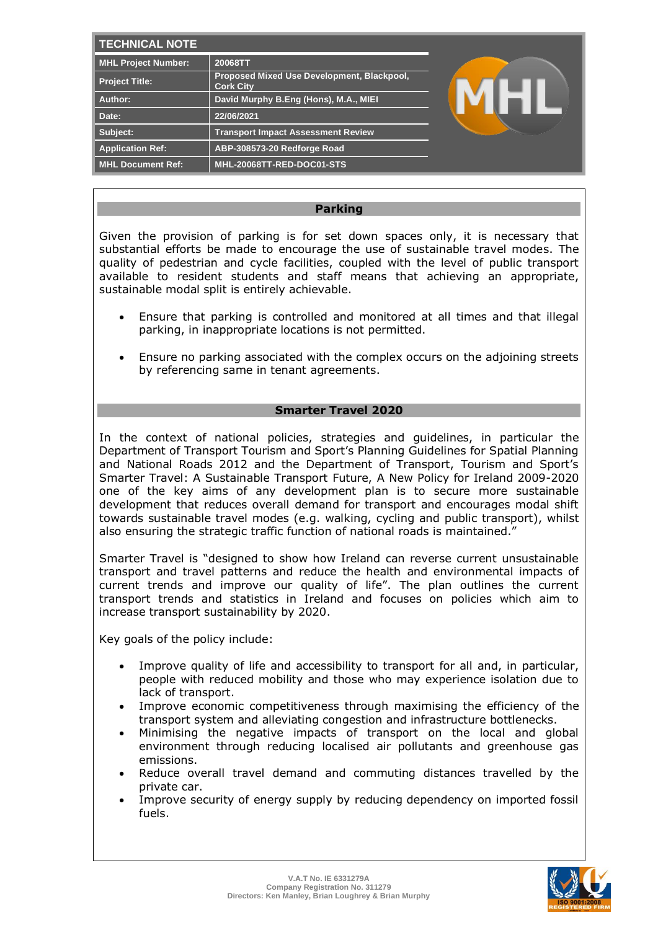| <b>TECHNICAL NOTE</b>      |                                                                |  |
|----------------------------|----------------------------------------------------------------|--|
| <b>MHL Project Number:</b> | 20068TT                                                        |  |
| Project Title:             | Proposed Mixed Use Development, Blackpool,<br><b>Cork City</b> |  |
| Author:                    | David Murphy B.Eng (Hons), M.A., MIEI                          |  |
| Date:                      | 22/06/2021                                                     |  |
| Subject:                   | <b>Transport Impact Assessment Review</b>                      |  |
| <b>Application Ref:</b>    | ABP-308573-20 Redforge Road                                    |  |
| <b>MHL Document Ref:</b>   | MHL-20068TT-RED-DOC01-STS                                      |  |

## **Parking**

Given the provision of parking is for set down spaces only, it is necessary that substantial efforts be made to encourage the use of sustainable travel modes. The quality of pedestrian and cycle facilities, coupled with the level of public transport available to resident students and staff means that achieving an appropriate, sustainable modal split is entirely achievable.

- Ensure that parking is controlled and monitored at all times and that illegal parking, in inappropriate locations is not permitted.
- Ensure no parking associated with the complex occurs on the adjoining streets by referencing same in tenant agreements.

# **Smarter Travel 2020**

In the context of national policies, strategies and guidelines, in particular the Department of Transport Tourism and Sport's Planning Guidelines for Spatial Planning and National Roads 2012 and the Department of Transport, Tourism and Sport's Smarter Travel: A Sustainable Transport Future, A New Policy for Ireland 2009-2020 one of the key aims of any development plan is to secure more sustainable development that reduces overall demand for transport and encourages modal shift towards sustainable travel modes (e.g. walking, cycling and public transport), whilst also ensuring the strategic traffic function of national roads is maintained."

Smarter Travel is "designed to show how Ireland can reverse current unsustainable transport and travel patterns and reduce the health and environmental impacts of current trends and improve our quality of life". The plan outlines the current transport trends and statistics in Ireland and focuses on policies which aim to increase transport sustainability by 2020.

Key goals of the policy include:

- Improve quality of life and accessibility to transport for all and, in particular, people with reduced mobility and those who may experience isolation due to lack of transport.
- Improve economic competitiveness through maximising the efficiency of the transport system and alleviating congestion and infrastructure bottlenecks.
- Minimising the negative impacts of transport on the local and global environment through reducing localised air pollutants and greenhouse gas emissions.
- Reduce overall travel demand and commuting distances travelled by the private car.
- Improve security of energy supply by reducing dependency on imported fossil fuels.